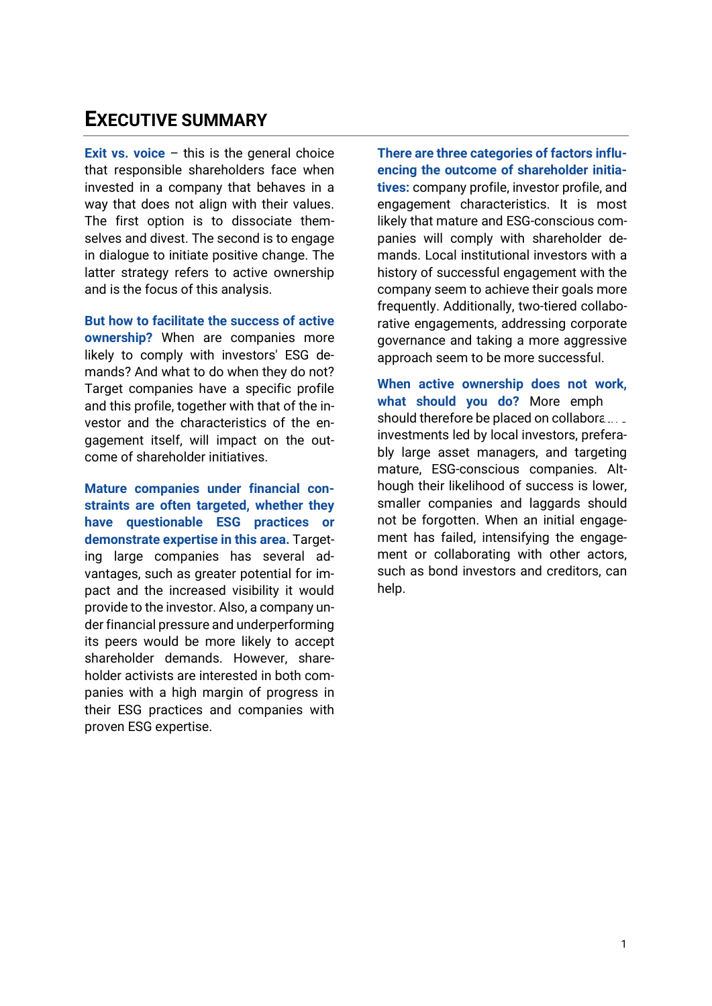## **EXECUTIVE SUMMARY**

**Exit vs. voice** – this is the general choice that responsible shareholders face when invested in a company that behaves in a way that does not align with their values. The first option is to dissociate themselves and divest. The second is to engage in dialogue to initiate positive change. The latter strategy refers to active ownership and is the focus of this analysis.

**But how to facilitate the success of active ownership?** When are companies more likely to comply with investors' ESG demands? And what to do when they do not? Target companies have a specific profile and this profile, together with that of the investor and the characteristics of the engagement itself, will impact on the outcome of shareholder initiatives.

**Mature companies under financial constraints are often targeted, whether they have questionable ESG practices or demonstrate expertise in this area.** Targeting large companies has several advantages, such as greater potential for impact and the increased visibility it would provide to the investor. Also, a company under financial pressure and underperforming its peers would be more likely to accept shareholder demands. However, shareholder activists are interested in both companies with a high margin of progress in their ESG practices and companies with proven ESG expertise.

**There are three categories of factors influencing the outcome of shareholder initiatives:** company profile, investor profile, and engagement characteristics. It is most likely that mature and ESG-conscious companies will comply with shareholder demands. Local institutional investors with a history of successful engagement with the company seem to achieve their goals more frequently. Additionally, two-tiered collaborative engagements, addressing corporate governance and taking a more aggressive approach seem to be more successful.

**When active ownership does not work,**  what should you do? More emph should therefore be placed on collabora... $\Box$ investments led by local investors, preferably large asset managers, and targeting mature, ESG-conscious companies. Although their likelihood of success is lower, smaller companies and laggards should not be forgotten. When an initial engagement has failed, intensifying the engagement or collaborating with other actors, such as bond investors and creditors, can help.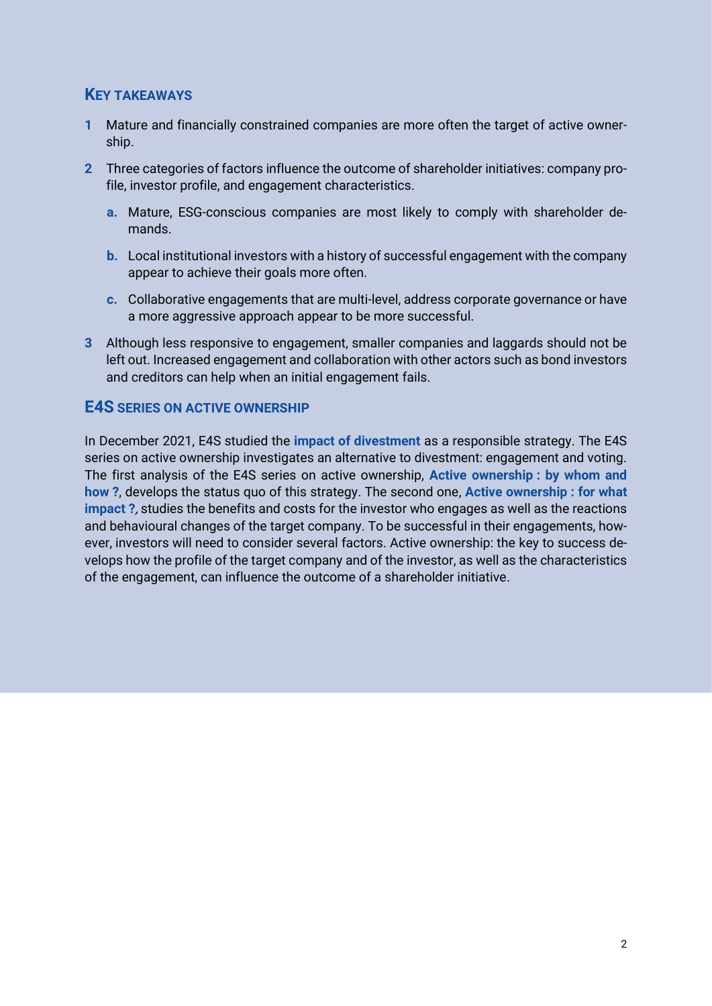## **KEY TAKEAWAYS**

- **1** Mature and financially constrained companies are more often the target of active ownership.
- **2** Three categories of factors influence the outcome of shareholder initiatives: company profile, investor profile, and engagement characteristics.
	- **a.** Mature, ESG-conscious companies are most likely to comply with shareholder demands.
	- **b.** Local institutional investors with a history of successful engagement with the company appear to achieve their goals more often.
	- **c.** Collaborative engagements that are multi-level, address corporate governance or have a more aggressive approach appear to be more successful.
- **3** Although less responsive to engagement, smaller companies and laggards should not be left out. Increased engagement and collaboration with other actors such as bond investors and creditors can help when an initial engagement fails.

## **E4S SERIES ON ACTIVE OWNERSHIP**

In December 2021, E4S studied the **[impact of divestment](https://e4s.center/document/desinvestir-pour-quel-impact/?lang=fr)** as a responsible strategy. The E4S series on active ownership investigates an alternative to divestment: engagement and voting. The first analysis of the E4S series on active ownership, **[Active ownership](https://e4s.center/document/actionnariat-actif-par-qui-et-comment/?lang=fr) : by whom and [how](https://e4s.center/document/actionnariat-actif-par-qui-et-comment/?lang=fr) ?**, develops the status quo of this strategy. The second one, **[Active ownership](https://e4s.center/document/actionnariat-actif-pour-quel-impact/?lang=fr) : for what [impact](https://e4s.center/document/actionnariat-actif-pour-quel-impact/?lang=fr) ?**, studies the benefits and costs for the investor who engages as well as the reactions and behavioural changes of the target company. To be successful in their engagements, however, investors will need to consider several factors. Active ownership: the key to success develops how the profile of the target company and of the investor, as well as the characteristics of the engagement, can influence the outcome of a shareholder initiative.